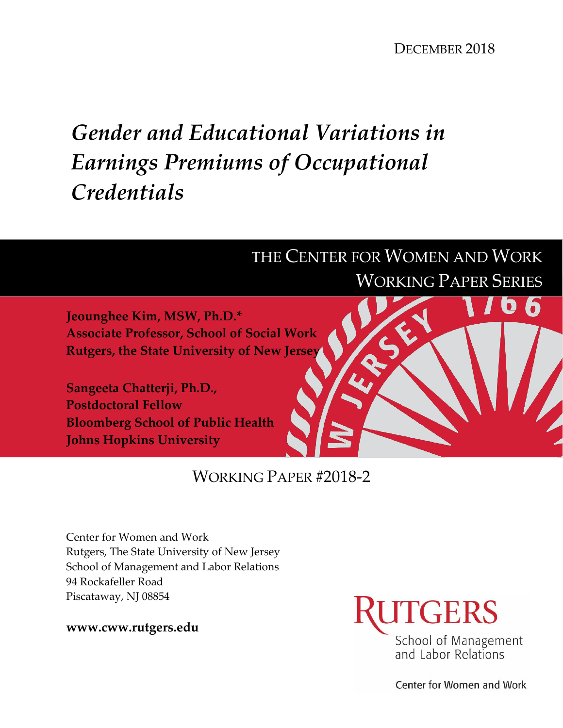DECEMBER 2018

 $\bullet$ 

# *Gender and Educational Variations in Earnings Premiums of Occupational Credentials*

## THE CENTER FOR WOMEN AND WORK WORKING PAPER SERIES

**Jeounghee Kim, MSW, Ph.D.\* Associate Professor, School of Social Work Rutgers, the State University of New Jersey**

**Sangeeta Chatterji, Ph.D., Postdoctoral Fellow Bloomberg School of Public Health Johns Hopkins University** 

### WORKING PAPER #2018-2

Center for Women and Work Rutgers, The State University of New Jersey School of Management and Labor Relations 94 Rockafeller Road Piscataway, NJ 08854

**www.cww.rutgers.edu**



Center for Women and Work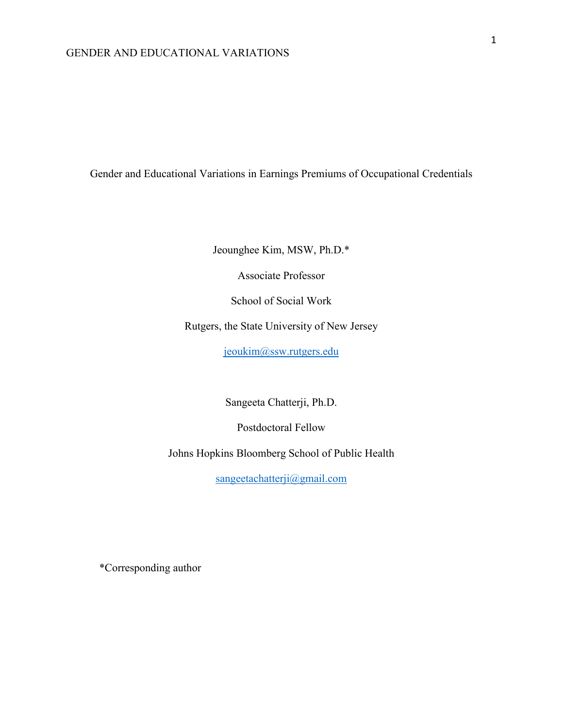Gender and Educational Variations in Earnings Premiums of Occupational Credentials

Jeounghee Kim, MSW, Ph.D.\*

Associate Professor

School of Social Work

Rutgers, the State University of New Jersey

[jeoukim@ssw.rutgers.edu](mailto:jeoukim@ssw.rutgers.edu)

Sangeeta Chatterji, Ph.D.

Postdoctoral Fellow

Johns Hopkins Bloomberg School of Public Health

[sangeetachatterji@gmail.com](mailto:sangeetachatterji@gmail.com)

\*Corresponding author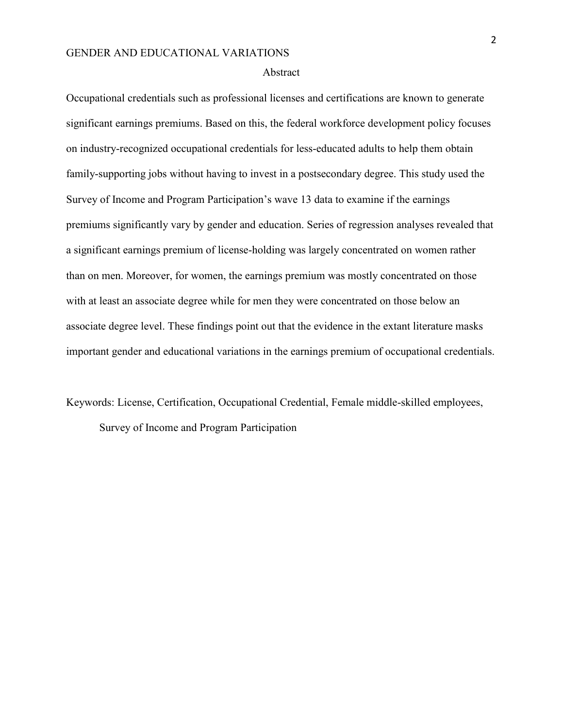#### Abstract

Occupational credentials such as professional licenses and certifications are known to generate significant earnings premiums. Based on this, the federal workforce development policy focuses on industry-recognized occupational credentials for less-educated adults to help them obtain family-supporting jobs without having to invest in a postsecondary degree. This study used the Survey of Income and Program Participation's wave 13 data to examine if the earnings premiums significantly vary by gender and education. Series of regression analyses revealed that a significant earnings premium of license-holding was largely concentrated on women rather than on men. Moreover, for women, the earnings premium was mostly concentrated on those with at least an associate degree while for men they were concentrated on those below an associate degree level. These findings point out that the evidence in the extant literature masks important gender and educational variations in the earnings premium of occupational credentials.

Keywords: License, Certification, Occupational Credential, Female middle-skilled employees, Survey of Income and Program Participation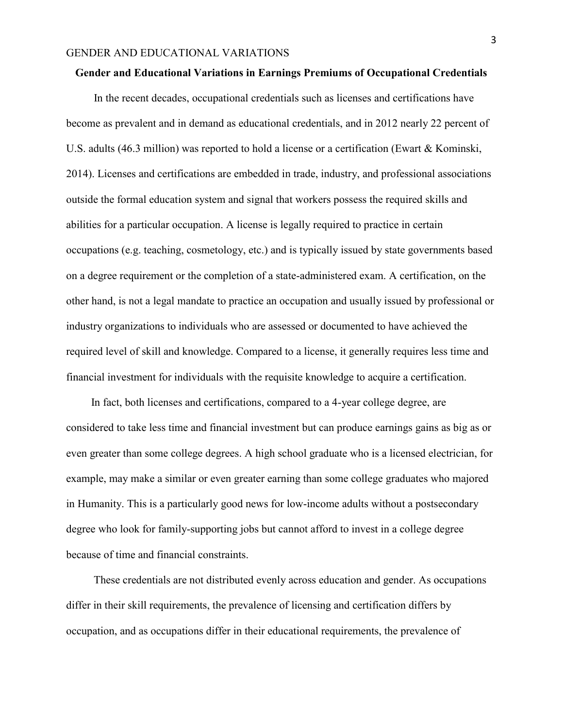#### **Gender and Educational Variations in Earnings Premiums of Occupational Credentials**

 In the recent decades, occupational credentials such as licenses and certifications have become as prevalent and in demand as educational credentials, and in 2012 nearly 22 percent of U.S. adults (46.3 million) was reported to hold a license or a certification (Ewart & Kominski, 2014). Licenses and certifications are embedded in trade, industry, and professional associations outside the formal education system and signal that workers possess the required skills and abilities for a particular occupation. A license is legally required to practice in certain occupations (e.g. teaching, cosmetology, etc.) and is typically issued by state governments based on a degree requirement or the completion of a state-administered exam. A certification, on the other hand, is not a legal mandate to practice an occupation and usually issued by professional or industry organizations to individuals who are assessed or documented to have achieved the required level of skill and knowledge. Compared to a license, it generally requires less time and financial investment for individuals with the requisite knowledge to acquire a certification.

 In fact, both licenses and certifications, compared to a 4-year college degree, are considered to take less time and financial investment but can produce earnings gains as big as or even greater than some college degrees. A high school graduate who is a licensed electrician, for example, may make a similar or even greater earning than some college graduates who majored in Humanity. This is a particularly good news for low-income adults without a postsecondary degree who look for family-supporting jobs but cannot afford to invest in a college degree because of time and financial constraints.

 These credentials are not distributed evenly across education and gender. As occupations differ in their skill requirements, the prevalence of licensing and certification differs by occupation, and as occupations differ in their educational requirements, the prevalence of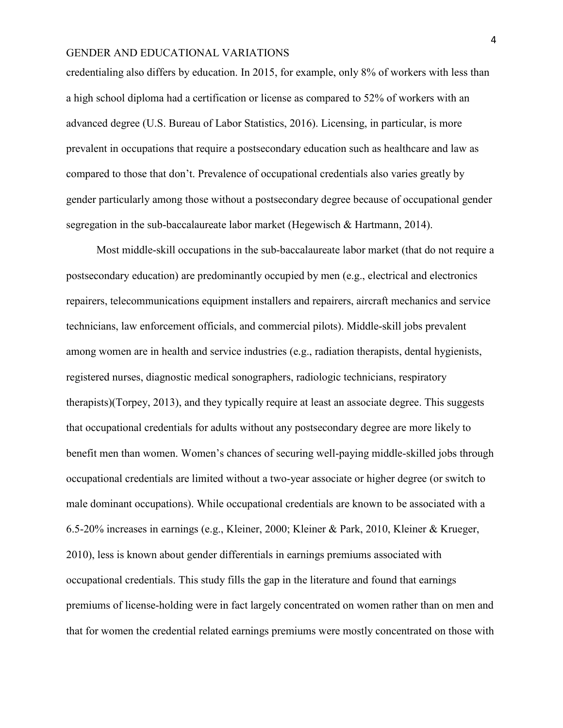credentialing also differs by education. In 2015, for example, only 8% of workers with less than a high school diploma had a certification or license as compared to 52% of workers with an advanced degree (U.S. Bureau of Labor Statistics, 2016). Licensing, in particular, is more prevalent in occupations that require a postsecondary education such as healthcare and law as compared to those that don't. Prevalence of occupational credentials also varies greatly by gender particularly among those without a postsecondary degree because of occupational gender segregation in the sub-baccalaureate labor market (Hegewisch & Hartmann, 2014).

 Most middle-skill occupations in the sub-baccalaureate labor market (that do not require a postsecondary education) are predominantly occupied by men (e.g., electrical and electronics repairers, telecommunications equipment installers and repairers, aircraft mechanics and service technicians, law enforcement officials, and commercial pilots). Middle-skill jobs prevalent among women are in health and service industries (e.g., radiation therapists, dental hygienists, registered nurses, diagnostic medical sonographers, radiologic technicians, respiratory therapists)(Torpey, 2013), and they typically require at least an associate degree. This suggests that occupational credentials for adults without any postsecondary degree are more likely to benefit men than women. Women's chances of securing well-paying middle-skilled jobs through occupational credentials are limited without a two-year associate or higher degree (or switch to male dominant occupations). While occupational credentials are known to be associated with a 6.5-20% increases in earnings (e.g., Kleiner, 2000; Kleiner & Park, 2010, Kleiner & Krueger, 2010), less is known about gender differentials in earnings premiums associated with occupational credentials. This study fills the gap in the literature and found that earnings premiums of license-holding were in fact largely concentrated on women rather than on men and that for women the credential related earnings premiums were mostly concentrated on those with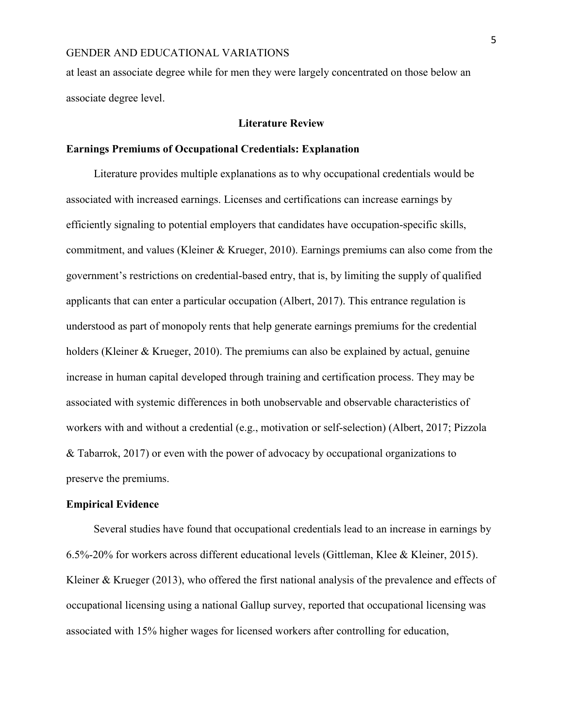at least an associate degree while for men they were largely concentrated on those below an associate degree level.

#### **Literature Review**

#### **Earnings Premiums of Occupational Credentials: Explanation**

 Literature provides multiple explanations as to why occupational credentials would be associated with increased earnings. Licenses and certifications can increase earnings by efficiently signaling to potential employers that candidates have occupation-specific skills, commitment, and values (Kleiner & Krueger, 2010). Earnings premiums can also come from the government's restrictions on credential-based entry, that is, by limiting the supply of qualified applicants that can enter a particular occupation (Albert, 2017). This entrance regulation is understood as part of monopoly rents that help generate earnings premiums for the credential holders (Kleiner & Krueger, 2010). The premiums can also be explained by actual, genuine increase in human capital developed through training and certification process. They may be associated with systemic differences in both unobservable and observable characteristics of workers with and without a credential (e.g., motivation or self-selection) (Albert, 2017; Pizzola & Tabarrok, 2017) or even with the power of advocacy by occupational organizations to preserve the premiums.

#### **Empirical Evidence**

 Several studies have found that occupational credentials lead to an increase in earnings by 6.5%-20% for workers across different educational levels (Gittleman, Klee & Kleiner, 2015). Kleiner & Krueger (2013), who offered the first national analysis of the prevalence and effects of occupational licensing using a national Gallup survey, reported that occupational licensing was associated with 15% higher wages for licensed workers after controlling for education,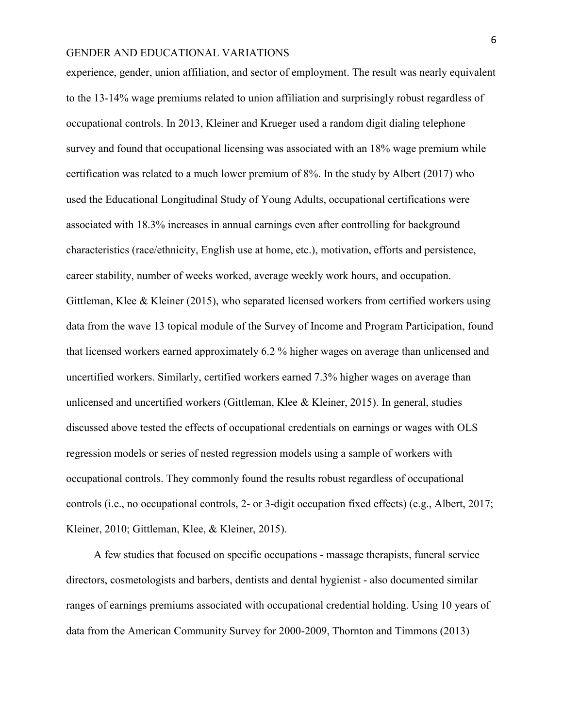experience, gender, union affiliation, and sector of employment. The result was nearly equivalent to the 13-14% wage premiums related to union affiliation and surprisingly robust regardless of occupational controls. In 2013, Kleiner and Krueger used a random digit dialing telephone survey and found that occupational licensing was associated with an 18% wage premium while certification was related to a much lower premium of 8%. In the study by Albert (2017) who used the Educational Longitudinal Study of Young Adults, occupational certifications were associated with 18.3% increases in annual earnings even after controlling for background characteristics (race/ethnicity, English use at home, etc.), motivation, efforts and persistence, career stability, number of weeks worked, average weekly work hours, and occupation. Gittleman, Klee & Kleiner (2015), who separated licensed workers from certified workers using data from the wave 13 topical module of the Survey of Income and Program Participation, found that licensed workers earned approximately 6.2 % higher wages on average than unlicensed and uncertified workers. Similarly, certified workers earned 7.3% higher wages on average than unlicensed and uncertified workers (Gittleman, Klee & Kleiner, 2015). In general, studies discussed above tested the effects of occupational credentials on earnings or wages with OLS regression models or series of nested regression models using a sample of workers with occupational controls. They commonly found the results robust regardless of occupational controls (i.e., no occupational controls, 2- or 3-digit occupation fixed effects) (e.g., Albert, 2017; Kleiner, 2010; Gittleman, Klee, & Kleiner, 2015).

 A few studies that focused on specific occupations - massage therapists, funeral service directors, cosmetologists and barbers, dentists and dental hygienist - also documented similar ranges of earnings premiums associated with occupational credential holding. Using 10 years of data from the American Community Survey for 2000-2009, Thornton and Timmons (2013)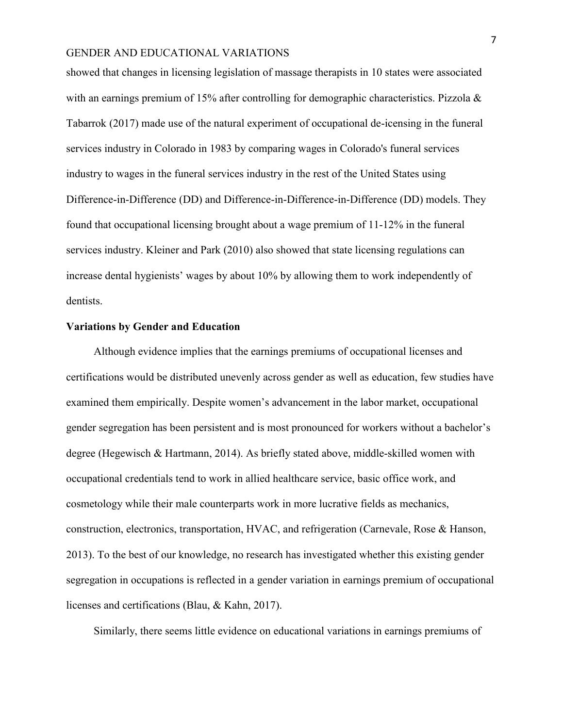showed that changes in licensing legislation of massage therapists in 10 states were associated with an earnings premium of 15% after controlling for demographic characteristics. Pizzola & Tabarrok (2017) made use of the natural experiment of occupational de-icensing in the funeral services industry in Colorado in 1983 by comparing wages in Colorado's funeral services industry to wages in the funeral services industry in the rest of the United States using Difference-in-Difference (DD) and Difference-in-Difference-in-Difference (DD) models. They found that occupational licensing brought about a wage premium of 11-12% in the funeral services industry. Kleiner and Park (2010) also showed that state licensing regulations can increase dental hygienists' wages by about 10% by allowing them to work independently of dentists.

#### **Variations by Gender and Education**

Although evidence implies that the earnings premiums of occupational licenses and certifications would be distributed unevenly across gender as well as education, few studies have examined them empirically. Despite women's advancement in the labor market, occupational gender segregation has been persistent and is most pronounced for workers without a bachelor's degree (Hegewisch & Hartmann, 2014). As briefly stated above, middle-skilled women with occupational credentials tend to work in allied healthcare service, basic office work, and cosmetology while their male counterparts work in more lucrative fields as mechanics, construction, electronics, transportation, HVAC, and refrigeration (Carnevale, Rose & Hanson, 2013). To the best of our knowledge, no research has investigated whether this existing gender segregation in occupations is reflected in a gender variation in earnings premium of occupational licenses and certifications (Blau, & Kahn, 2017).

Similarly, there seems little evidence on educational variations in earnings premiums of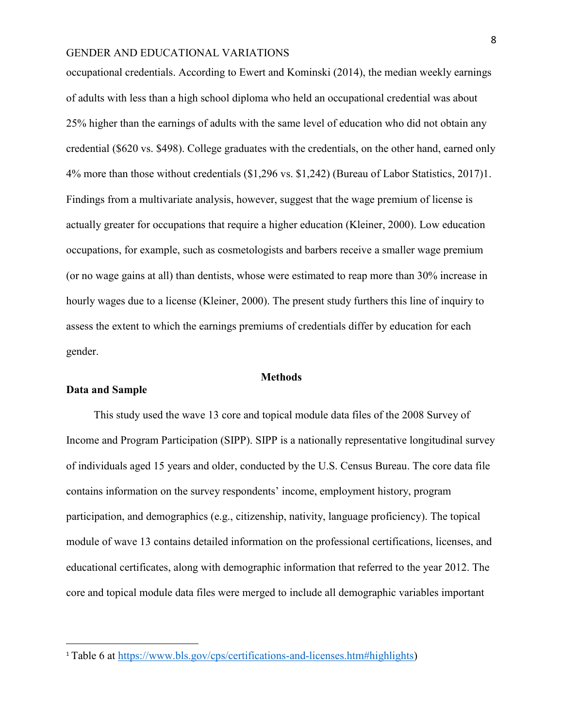occupational credentials. According to Ewert and Kominski (2014), the median weekly earnings of adults with less than a high school diploma who held an occupational credential was about 25% higher than the earnings of adults with the same level of education who did not obtain any credential (\$620 vs. \$498). College graduates with the credentials, on the other hand, earned only 4% more than those without credentials (\$1,296 vs. \$1,242) (Bureau of Labor Statistics, 2017)1. Findings from a multivariate analysis, however, suggest that the wage premium of license is actually greater for occupations that require a higher education (Kleiner, 2000). Low education occupations, for example, such as cosmetologists and barbers receive a smaller wage premium (or no wage gains at all) than dentists, whose were estimated to reap more than 30% increase in hourly wages due to a license (Kleiner, 2000). The present study furthers this line of inquiry to assess the extent to which the earnings premiums of credentials differ by education for each gender.

#### **Methods**

#### **Data and Sample**

 $\overline{a}$ 

This study used the wave 13 core and topical module data files of the 2008 Survey of Income and Program Participation (SIPP). SIPP is a nationally representative longitudinal survey of individuals aged 15 years and older, conducted by the U.S. Census Bureau. The core data file contains information on the survey respondents' income, employment history, program participation, and demographics (e.g., citizenship, nativity, language proficiency). The topical module of wave 13 contains detailed information on the professional certifications, licenses, and educational certificates, along with demographic information that referred to the year 2012. The core and topical module data files were merged to include all demographic variables important

<sup>1</sup> Table 6 at [https://www.bls.gov/cps/certifications-and-licenses.htm#highlights\)](https://www.bls.gov/cps/certifications-and-licenses.htm#highlights)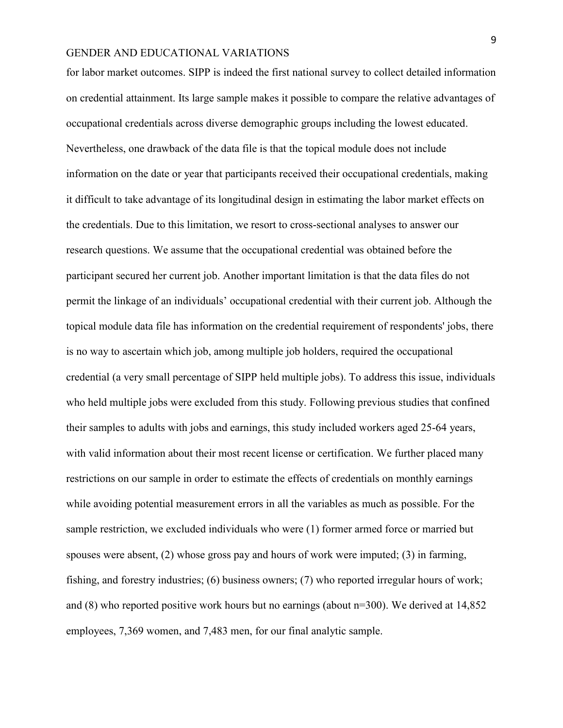for labor market outcomes. SIPP is indeed the first national survey to collect detailed information on credential attainment. Its large sample makes it possible to compare the relative advantages of occupational credentials across diverse demographic groups including the lowest educated. Nevertheless, one drawback of the data file is that the topical module does not include information on the date or year that participants received their occupational credentials, making it difficult to take advantage of its longitudinal design in estimating the labor market effects on the credentials. Due to this limitation, we resort to cross-sectional analyses to answer our research questions. We assume that the occupational credential was obtained before the participant secured her current job. Another important limitation is that the data files do not permit the linkage of an individuals' occupational credential with their current job. Although the topical module data file has information on the credential requirement of respondents' jobs, there is no way to ascertain which job, among multiple job holders, required the occupational credential (a very small percentage of SIPP held multiple jobs). To address this issue, individuals who held multiple jobs were excluded from this study. Following previous studies that confined their samples to adults with jobs and earnings, this study included workers aged 25-64 years, with valid information about their most recent license or certification. We further placed many restrictions on our sample in order to estimate the effects of credentials on monthly earnings while avoiding potential measurement errors in all the variables as much as possible. For the sample restriction, we excluded individuals who were (1) former armed force or married but spouses were absent, (2) whose gross pay and hours of work were imputed; (3) in farming, fishing, and forestry industries; (6) business owners; (7) who reported irregular hours of work; and (8) who reported positive work hours but no earnings (about n=300). We derived at 14,852 employees, 7,369 women, and 7,483 men, for our final analytic sample.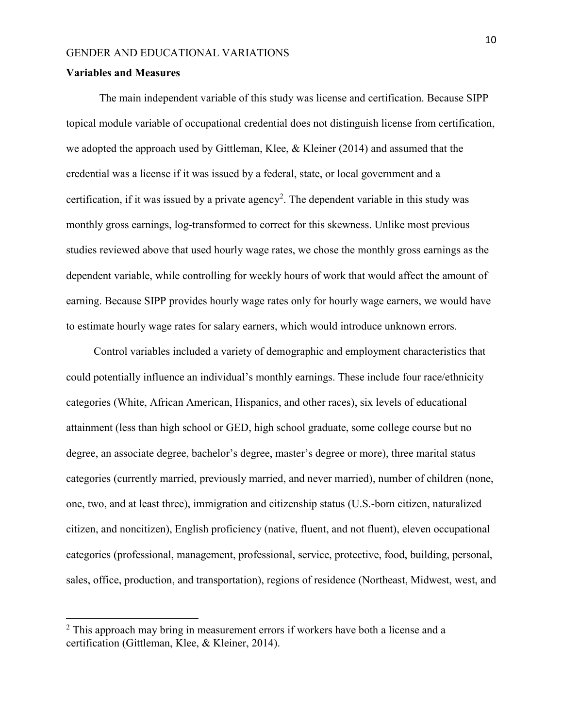#### **Variables and Measures**

 $\overline{a}$ 

The main independent variable of this study was license and certification. Because SIPP topical module variable of occupational credential does not distinguish license from certification, we adopted the approach used by Gittleman, Klee, & Kleiner (2014) and assumed that the credential was a license if it was issued by a federal, state, or local government and a certification, if it was issued by a private agency<sup>2</sup>. The dependent variable in this study was monthly gross earnings, log-transformed to correct for this skewness. Unlike most previous studies reviewed above that used hourly wage rates, we chose the monthly gross earnings as the dependent variable, while controlling for weekly hours of work that would affect the amount of earning. Because SIPP provides hourly wage rates only for hourly wage earners, we would have to estimate hourly wage rates for salary earners, which would introduce unknown errors.

 Control variables included a variety of demographic and employment characteristics that could potentially influence an individual's monthly earnings. These include four race/ethnicity categories (White, African American, Hispanics, and other races), six levels of educational attainment (less than high school or GED, high school graduate, some college course but no degree, an associate degree, bachelor's degree, master's degree or more), three marital status categories (currently married, previously married, and never married), number of children (none, one, two, and at least three), immigration and citizenship status (U.S.-born citizen, naturalized citizen, and noncitizen), English proficiency (native, fluent, and not fluent), eleven occupational categories (professional, management, professional, service, protective, food, building, personal, sales, office, production, and transportation), regions of residence (Northeast, Midwest, west, and

 $2$  This approach may bring in measurement errors if workers have both a license and a certification (Gittleman, Klee, & Kleiner, 2014).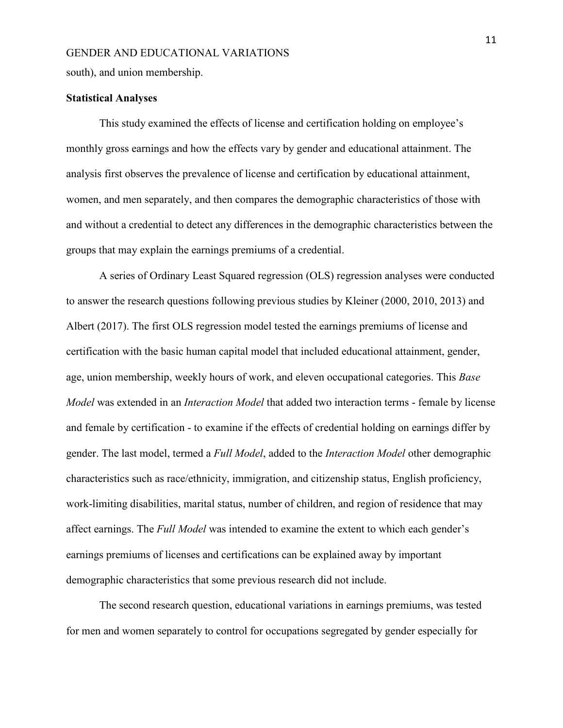south), and union membership.

#### **Statistical Analyses**

This study examined the effects of license and certification holding on employee's monthly gross earnings and how the effects vary by gender and educational attainment. The analysis first observes the prevalence of license and certification by educational attainment, women, and men separately, and then compares the demographic characteristics of those with and without a credential to detect any differences in the demographic characteristics between the groups that may explain the earnings premiums of a credential.

A series of Ordinary Least Squared regression (OLS) regression analyses were conducted to answer the research questions following previous studies by Kleiner (2000, 2010, 2013) and Albert (2017). The first OLS regression model tested the earnings premiums of license and certification with the basic human capital model that included educational attainment, gender, age, union membership, weekly hours of work, and eleven occupational categories. This *Base Model* was extended in an *Interaction Model* that added two interaction terms - female by license and female by certification - to examine if the effects of credential holding on earnings differ by gender. The last model, termed a *Full Model*, added to the *Interaction Model* other demographic characteristics such as race/ethnicity, immigration, and citizenship status, English proficiency, work-limiting disabilities, marital status, number of children, and region of residence that may affect earnings. The *Full Model* was intended to examine the extent to which each gender's earnings premiums of licenses and certifications can be explained away by important demographic characteristics that some previous research did not include.

The second research question, educational variations in earnings premiums, was tested for men and women separately to control for occupations segregated by gender especially for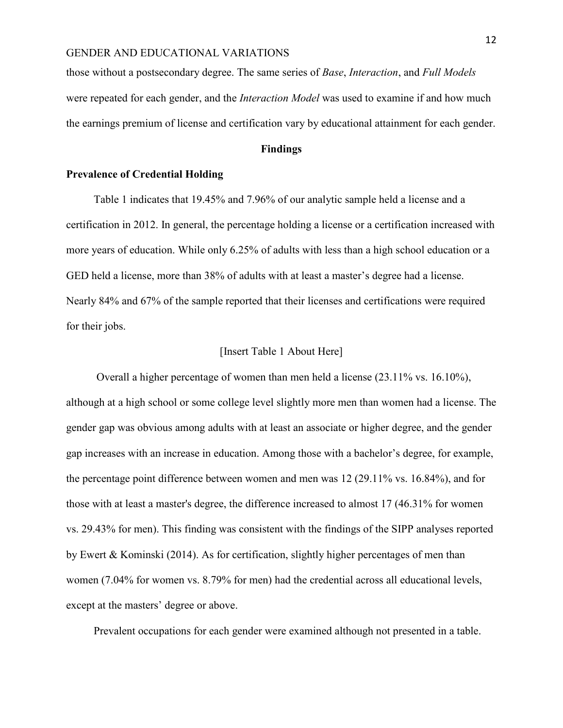those without a postsecondary degree. The same series of *Base*, *Interaction*, and *Full Models* were repeated for each gender, and the *Interaction Model* was used to examine if and how much the earnings premium of license and certification vary by educational attainment for each gender.

#### **Findings**

#### **Prevalence of Credential Holding**

 Table 1 indicates that 19.45% and 7.96% of our analytic sample held a license and a certification in 2012. In general, the percentage holding a license or a certification increased with more years of education. While only 6.25% of adults with less than a high school education or a GED held a license, more than 38% of adults with at least a master's degree had a license. Nearly 84% and 67% of the sample reported that their licenses and certifications were required for their jobs.

#### [Insert Table 1 About Here]

 Overall a higher percentage of women than men held a license (23.11% vs. 16.10%), although at a high school or some college level slightly more men than women had a license. The gender gap was obvious among adults with at least an associate or higher degree, and the gender gap increases with an increase in education. Among those with a bachelor's degree, for example, the percentage point difference between women and men was 12 (29.11% vs. 16.84%), and for those with at least a master's degree, the difference increased to almost 17 (46.31% for women vs. 29.43% for men). This finding was consistent with the findings of the SIPP analyses reported by Ewert & Kominski (2014). As for certification, slightly higher percentages of men than women (7.04% for women vs. 8.79% for men) had the credential across all educational levels, except at the masters' degree or above.

Prevalent occupations for each gender were examined although not presented in a table.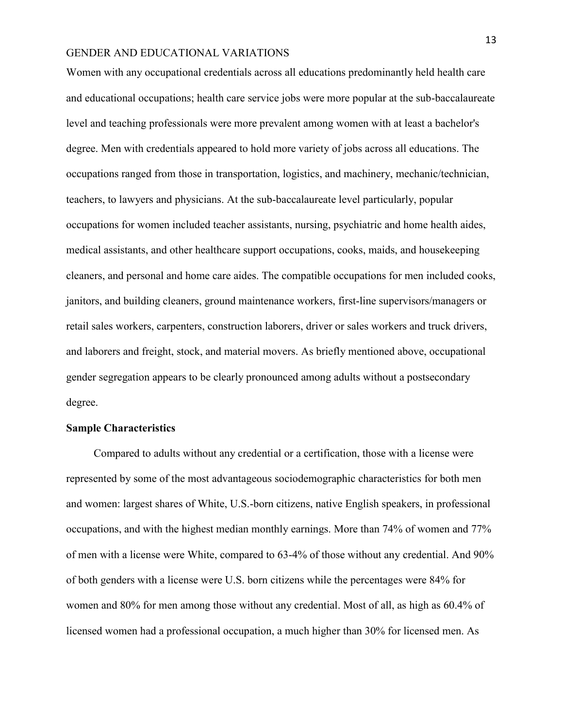Women with any occupational credentials across all educations predominantly held health care and educational occupations; health care service jobs were more popular at the sub-baccalaureate level and teaching professionals were more prevalent among women with at least a bachelor's degree. Men with credentials appeared to hold more variety of jobs across all educations. The occupations ranged from those in transportation, logistics, and machinery, mechanic/technician, teachers, to lawyers and physicians. At the sub-baccalaureate level particularly, popular occupations for women included teacher assistants, nursing, psychiatric and home health aides, medical assistants, and other healthcare support occupations, cooks, maids, and housekeeping cleaners, and personal and home care aides. The compatible occupations for men included cooks, janitors, and building cleaners, ground maintenance workers, first-line supervisors/managers or retail sales workers, carpenters, construction laborers, driver or sales workers and truck drivers, and laborers and freight, stock, and material movers. As briefly mentioned above, occupational gender segregation appears to be clearly pronounced among adults without a postsecondary degree.

#### **Sample Characteristics**

Compared to adults without any credential or a certification, those with a license were represented by some of the most advantageous sociodemographic characteristics for both men and women: largest shares of White, U.S.-born citizens, native English speakers, in professional occupations, and with the highest median monthly earnings. More than 74% of women and 77% of men with a license were White, compared to 63-4% of those without any credential. And 90% of both genders with a license were U.S. born citizens while the percentages were 84% for women and 80% for men among those without any credential. Most of all, as high as 60.4% of licensed women had a professional occupation, a much higher than 30% for licensed men. As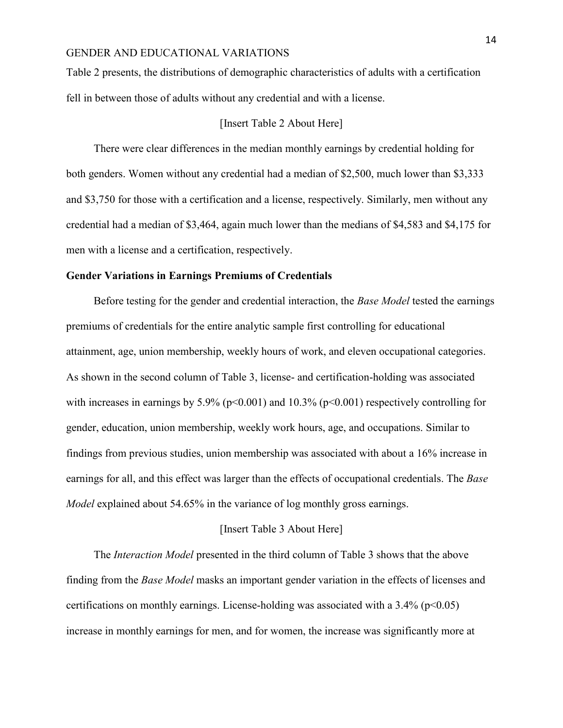Table 2 presents, the distributions of demographic characteristics of adults with a certification fell in between those of adults without any credential and with a license.

#### [Insert Table 2 About Here]

There were clear differences in the median monthly earnings by credential holding for both genders. Women without any credential had a median of \$2,500, much lower than \$3,333 and \$3,750 for those with a certification and a license, respectively. Similarly, men without any credential had a median of \$3,464, again much lower than the medians of \$4,583 and \$4,175 for men with a license and a certification, respectively.

#### **Gender Variations in Earnings Premiums of Credentials**

 Before testing for the gender and credential interaction, the *Base Model* tested the earnings premiums of credentials for the entire analytic sample first controlling for educational attainment, age, union membership, weekly hours of work, and eleven occupational categories. As shown in the second column of Table 3, license- and certification-holding was associated with increases in earnings by  $5.9\%$  ( $p<0.001$ ) and  $10.3\%$  ( $p<0.001$ ) respectively controlling for gender, education, union membership, weekly work hours, age, and occupations. Similar to findings from previous studies, union membership was associated with about a 16% increase in earnings for all, and this effect was larger than the effects of occupational credentials. The *Base Model* explained about 54.65% in the variance of log monthly gross earnings.

#### [Insert Table 3 About Here]

The *Interaction Model* presented in the third column of Table 3 shows that the above finding from the *Base Model* masks an important gender variation in the effects of licenses and certifications on monthly earnings. License-holding was associated with a  $3.4\%$  (p<0.05) increase in monthly earnings for men, and for women, the increase was significantly more at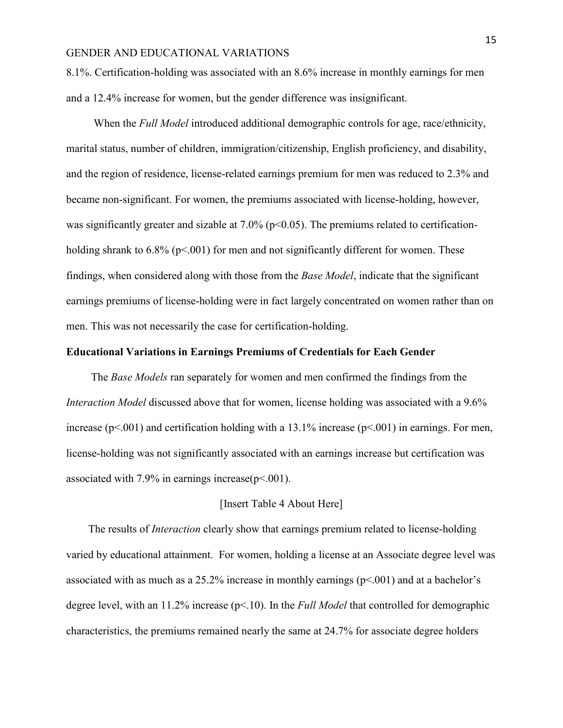8.1%. Certification-holding was associated with an 8.6% increase in monthly earnings for men and a 12.4% increase for women, but the gender difference was insignificant.

 When the *Full Model* introduced additional demographic controls for age, race/ethnicity, marital status, number of children, immigration/citizenship, English proficiency, and disability, and the region of residence, license-related earnings premium for men was reduced to 2.3% and became non-significant. For women, the premiums associated with license-holding, however, was significantly greater and sizable at  $7.0\%$  ( $p<0.05$ ). The premiums related to certificationholding shrank to  $6.8\%$  (p<.001) for men and not significantly different for women. These findings, when considered along with those from the *Base Model*, indicate that the significant earnings premiums of license-holding were in fact largely concentrated on women rather than on men. This was not necessarily the case for certification-holding.

#### **Educational Variations in Earnings Premiums of Credentials for Each Gender**

 The *Base Models* ran separately for women and men confirmed the findings from the *Interaction Model* discussed above that for women, license holding was associated with a 9.6% increase ( $p<0.001$ ) and certification holding with a 13.1% increase ( $p<0.01$ ) in earnings. For men, license-holding was not significantly associated with an earnings increase but certification was associated with 7.9% in earnings increase( $p$ <.001).

#### [Insert Table 4 About Here]

 The results of *Interaction* clearly show that earnings premium related to license-holding varied by educational attainment. For women, holding a license at an Associate degree level was associated with as much as a  $25.2\%$  increase in monthly earnings ( $p<001$ ) and at a bachelor's degree level, with an 11.2% increase (p<.10). In the *Full Model* that controlled for demographic characteristics, the premiums remained nearly the same at 24.7% for associate degree holders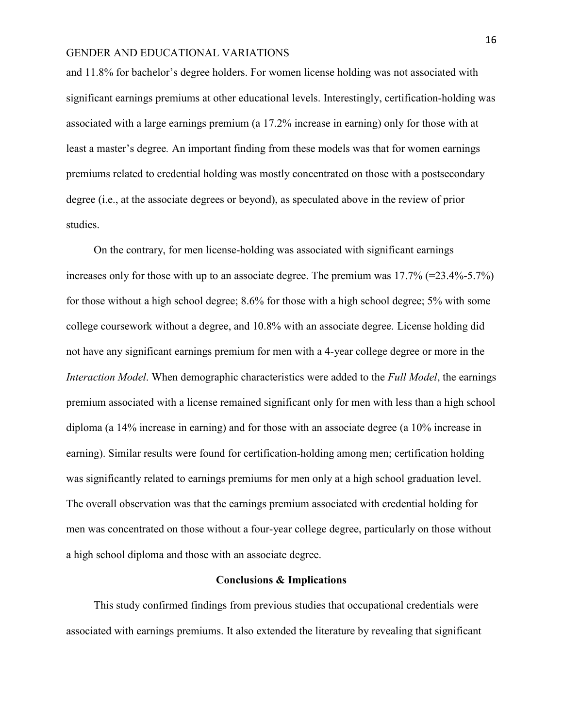and 11.8% for bachelor's degree holders. For women license holding was not associated with significant earnings premiums at other educational levels. Interestingly, certification-holding was associated with a large earnings premium (a 17.2% increase in earning) only for those with at least a master's degree*.* An important finding from these models was that for women earnings premiums related to credential holding was mostly concentrated on those with a postsecondary degree (i.e., at the associate degrees or beyond), as speculated above in the review of prior studies.

 On the contrary, for men license-holding was associated with significant earnings increases only for those with up to an associate degree. The premium was 17.7% (=23.4%-5.7%) for those without a high school degree; 8.6% for those with a high school degree; 5% with some college coursework without a degree, and 10.8% with an associate degree. License holding did not have any significant earnings premium for men with a 4-year college degree or more in the *Interaction Model*. When demographic characteristics were added to the *Full Model*, the earnings premium associated with a license remained significant only for men with less than a high school diploma (a 14% increase in earning) and for those with an associate degree (a 10% increase in earning). Similar results were found for certification-holding among men; certification holding was significantly related to earnings premiums for men only at a high school graduation level. The overall observation was that the earnings premium associated with credential holding for men was concentrated on those without a four-year college degree, particularly on those without a high school diploma and those with an associate degree.

#### **Conclusions & Implications**

 This study confirmed findings from previous studies that occupational credentials were associated with earnings premiums. It also extended the literature by revealing that significant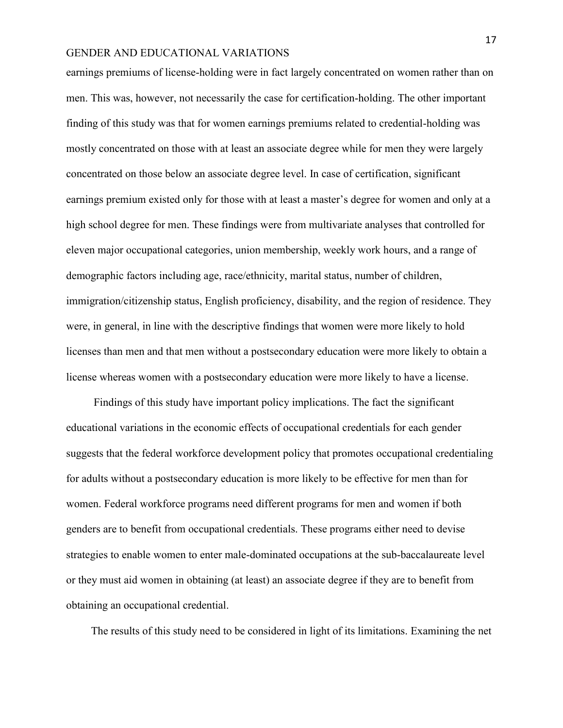earnings premiums of license-holding were in fact largely concentrated on women rather than on men. This was, however, not necessarily the case for certification-holding. The other important finding of this study was that for women earnings premiums related to credential-holding was mostly concentrated on those with at least an associate degree while for men they were largely concentrated on those below an associate degree level. In case of certification, significant earnings premium existed only for those with at least a master's degree for women and only at a high school degree for men. These findings were from multivariate analyses that controlled for eleven major occupational categories, union membership, weekly work hours, and a range of demographic factors including age, race/ethnicity, marital status, number of children, immigration/citizenship status, English proficiency, disability, and the region of residence. They were, in general, in line with the descriptive findings that women were more likely to hold licenses than men and that men without a postsecondary education were more likely to obtain a license whereas women with a postsecondary education were more likely to have a license.

 Findings of this study have important policy implications. The fact the significant educational variations in the economic effects of occupational credentials for each gender suggests that the federal workforce development policy that promotes occupational credentialing for adults without a postsecondary education is more likely to be effective for men than for women. Federal workforce programs need different programs for men and women if both genders are to benefit from occupational credentials. These programs either need to devise strategies to enable women to enter male-dominated occupations at the sub-baccalaureate level or they must aid women in obtaining (at least) an associate degree if they are to benefit from obtaining an occupational credential.

The results of this study need to be considered in light of its limitations. Examining the net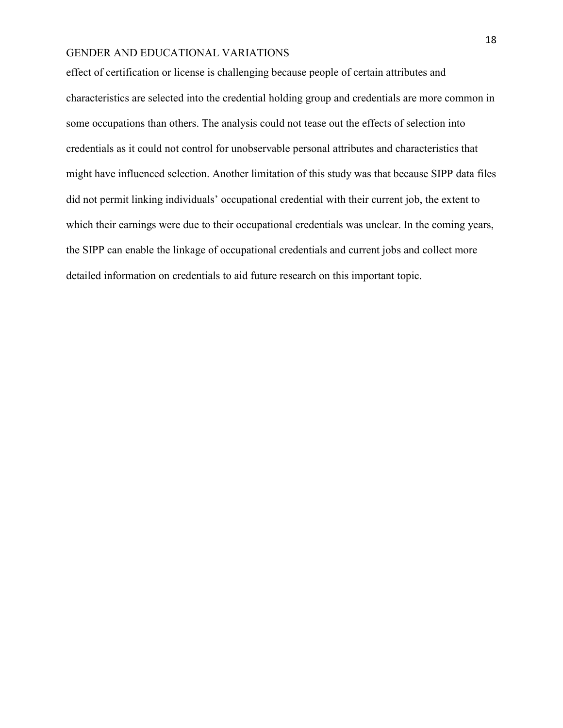effect of certification or license is challenging because people of certain attributes and characteristics are selected into the credential holding group and credentials are more common in some occupations than others. The analysis could not tease out the effects of selection into credentials as it could not control for unobservable personal attributes and characteristics that might have influenced selection. Another limitation of this study was that because SIPP data files did not permit linking individuals' occupational credential with their current job, the extent to which their earnings were due to their occupational credentials was unclear. In the coming years, the SIPP can enable the linkage of occupational credentials and current jobs and collect more detailed information on credentials to aid future research on this important topic.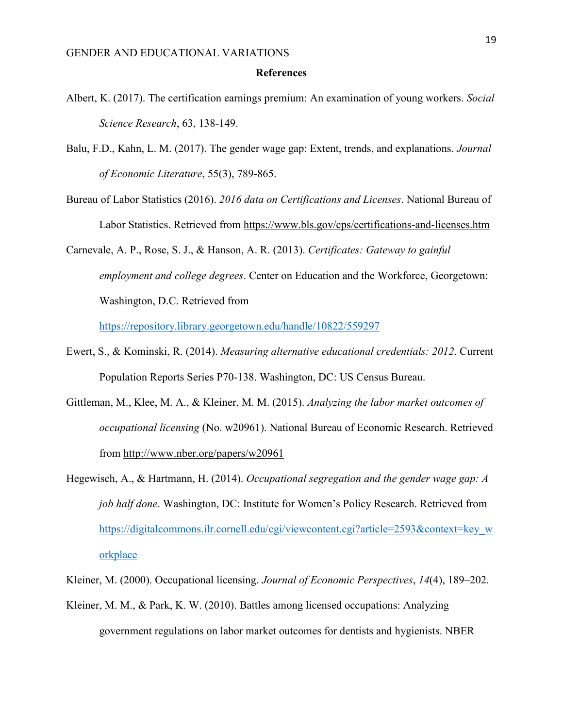#### **References**

- Albert, K. (2017). The certification earnings premium: An examination of young workers. *Social Science Research*, 63, 138-149.
- Balu, F.D., Kahn, L. M. (2017). The gender wage gap: Extent, trends, and explanations. *Journal of Economic Literature*, 55(3), 789-865.
- Bureau of Labor Statistics (2016). *2016 data on Certifications and Licenses*. National Bureau of Labor Statistics. Retrieved from<https://www.bls.gov/cps/certifications-and-licenses.htm>

Carnevale, A. P., Rose, S. J., & Hanson, A. R. (2013). *Certificates: Gateway to gainful employment and college degrees*. Center on Education and the Workforce, Georgetown: Washington, D.C. Retrieved from

<https://repository.library.georgetown.edu/handle/10822/559297>

- Ewert, S., & Kominski, R. (2014). *Measuring alternative educational credentials: 2012*. Current Population Reports Series P70-138. Washington, DC: US Census Bureau.
- Gittleman, M., Klee, M. A., & Kleiner, M. M. (2015). *Analyzing the labor market outcomes of occupational licensing* (No. w20961). National Bureau of Economic Research. Retrieved from<http://www.nber.org/papers/w20961>
- Hegewisch, A., & Hartmann, H. (2014). *Occupational segregation and the gender wage gap: A job half done*. Washington, DC: Institute for Women's Policy Research. Retrieved from [https://digitalcommons.ilr.cornell.edu/cgi/viewcontent.cgi?article=2593&context=key\\_w](https://digitalcommons.ilr.cornell.edu/cgi/viewcontent.cgi?article=2593&context=key_workplace) [orkplace](https://digitalcommons.ilr.cornell.edu/cgi/viewcontent.cgi?article=2593&context=key_workplace)
- Kleiner, M. (2000). Occupational licensing. *Journal of Economic Perspectives*, *14*(4), 189–202.
- Kleiner, M. M., & Park, K. W. (2010). Battles among licensed occupations: Analyzing government regulations on labor market outcomes for dentists and hygienists. NBER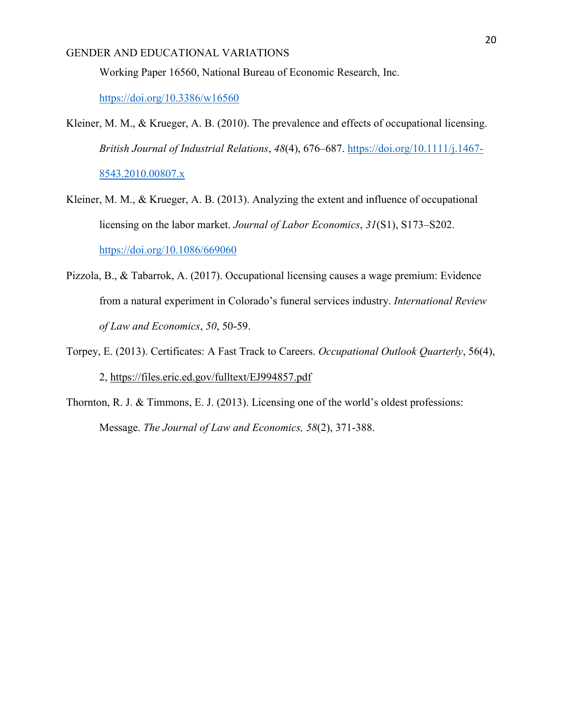Working Paper 16560, National Bureau of Economic Research, Inc.

<https://doi.org/10.3386/w16560>

- Kleiner, M. M., & Krueger, A. B. (2010). The prevalence and effects of occupational licensing. *British Journal of Industrial Relations*, *48*(4), 676–687. [https://doi.org/10.1111/j.1467-](https://doi.org/10.1111/j.1467-8543.2010.00807.x) [8543.2010.00807.x](https://doi.org/10.1111/j.1467-8543.2010.00807.x)
- Kleiner, M. M., & Krueger, A. B. (2013). Analyzing the extent and influence of occupational licensing on the labor market. *Journal of Labor Economics*, *31*(S1), S173–S202. <https://doi.org/10.1086/669060>
- Pizzola, B., & Tabarrok, A. (2017). Occupational licensing causes a wage premium: Evidence from a natural experiment in Colorado's funeral services industry. *International Review of Law and Economics*, *50*, 50-59.
- Torpey, E. (2013). Certificates: A Fast Track to Careers. *Occupational Outlook Quarterly*, 56(4), 2,<https://files.eric.ed.gov/fulltext/EJ994857.pdf>
- Thornton, R. J. & Timmons, E. J. (2013). Licensing one of the world's oldest professions: Message. *The Journal of Law and Economics, 58*(2), 371-388.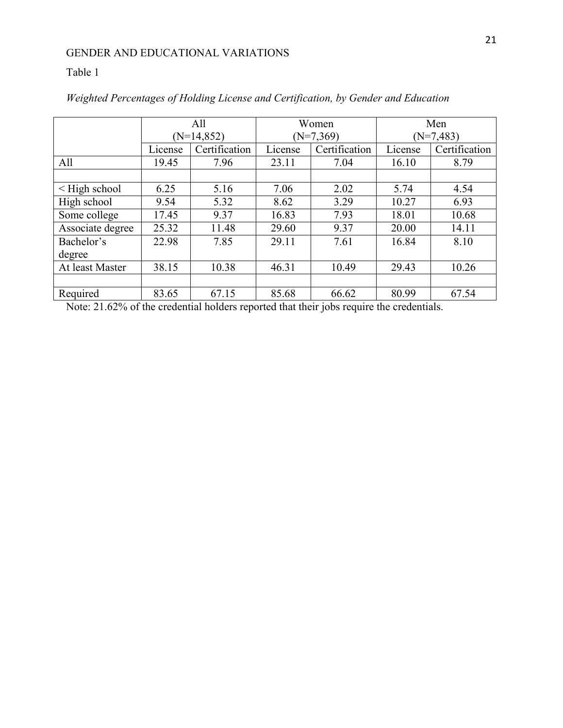#### Table 1

|                    | All<br>$(N=14, 852)$ |               | Women<br>$(N=7,369)$ |               | Men<br>$(N=7,483)$ |               |
|--------------------|----------------------|---------------|----------------------|---------------|--------------------|---------------|
|                    |                      |               |                      |               |                    |               |
|                    | License              | Certification | License              | Certification | License            | Certification |
| All                | 19.45                | 7.96          | 23.11                | 7.04          | 16.10              | 8.79          |
|                    |                      |               |                      |               |                    |               |
| $\leq$ High school | 6.25                 | 5.16          | 7.06                 | 2.02          | 5.74               | 4.54          |
| High school        | 9.54                 | 5.32          | 8.62                 | 3.29          | 10.27              | 6.93          |
| Some college       | 17.45                | 9.37          | 16.83                | 7.93          | 18.01              | 10.68         |
| Associate degree   | 25.32                | 11.48         | 29.60                | 9.37          | 20.00              | 14.11         |
| Bachelor's         | 22.98                | 7.85          | 29.11                | 7.61          | 16.84              | 8.10          |
| degree             |                      |               |                      |               |                    |               |
| At least Master    | 38.15                | 10.38         | 46.31                | 10.49         | 29.43              | 10.26         |
|                    |                      |               |                      |               |                    |               |
| Required           | 83.65                | 67.15         | 85.68                | 66.62         | 80.99              | 67.54         |

*Weighted Percentages of Holding License and Certification, by Gender and Education*

Note: 21.62% of the credential holders reported that their jobs require the credentials.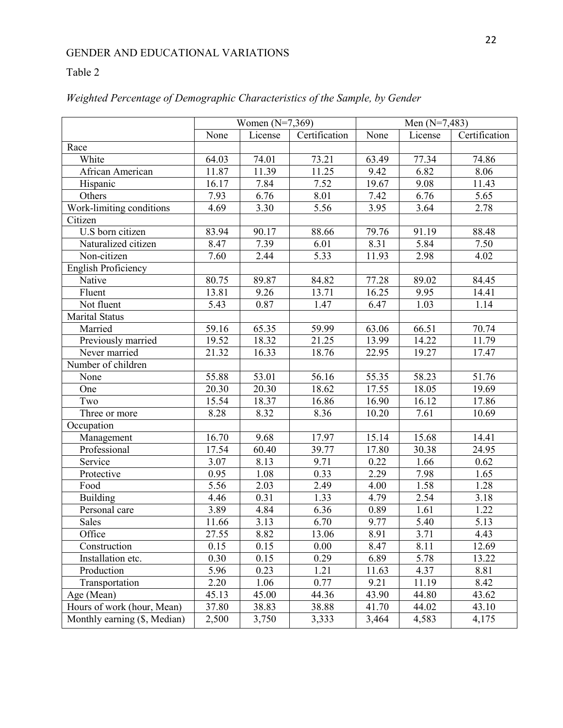#### Table 2

|                              | Women $(N=7,369)$  |                   |               | Men $(N=7,483)$     |                   |               |
|------------------------------|--------------------|-------------------|---------------|---------------------|-------------------|---------------|
|                              | None               | License           | Certification | None                | License           | Certification |
| Race                         |                    |                   |               |                     |                   |               |
| White                        | 64.03              | 74.01             | 73.21         | 63.49               | 77.34             | 74.86         |
| African American             | 11.87              | 11.39             | 11.25         | 9.42                | 6.82              | 8.06          |
| Hispanic                     | 16.17              | 7.84              | 7.52          | 19.67               | 9.08              | 11.43         |
| Others                       | 7.93               | 6.76              | 8.01          | 7.42                | 6.76              | 5.65          |
| Work-limiting conditions     | 4.69               | 3.30              | 5.56          | 3.95                | 3.64              | 2.78          |
| Citizen                      |                    |                   |               |                     |                   |               |
| U.S born citizen             | 83.94              | 90.17             | 88.66         | 79.76               | 91.19             | 88.48         |
| Naturalized citizen          | 8.47               | $\overline{7.39}$ | 6.01          | 8.31                | 5.84              | 7.50          |
| Non-citizen                  | 7.60               | 2.44              | 5.33          | 11.93               | 2.98              | 4.02          |
| <b>English Proficiency</b>   |                    |                   |               |                     |                   |               |
| Native                       | 80.75              | 89.87             | 84.82         | $\overline{7}$ 7.28 | 89.02             | 84.45         |
| Fluent                       | 13.81              | 9.26              | 13.71         | 16.25               | 9.95              | 14.41         |
| Not fluent                   | 5.43               | 0.87              | 1.47          | 6.47                | 1.03              | 1.14          |
| <b>Marital Status</b>        |                    |                   |               |                     |                   |               |
| Married                      | 59.16              | 65.35             | 59.99         | 63.06               | 66.51             | 70.74         |
| Previously married           | 19.52              | 18.32             | 21.25         | 13.99               | 14.22             | 11.79         |
| Never married                | $\overline{2}1.32$ | 16.33             | 18.76         | 22.95               | 19.27             | 17.47         |
| Number of children           |                    |                   |               |                     |                   |               |
| None                         | 55.88              | 53.01             | 56.16         | 55.35               | 58.23             | 51.76         |
| One                          | 20.30              | 20.30             | 18.62         | 17.55               | 18.05             | 19.69         |
| Two                          | 15.54              | 18.37             | 16.86         | 16.90               | 16.12             | 17.86         |
| Three or more                | 8.28               | 8.32              | 8.36          | 10.20               | $\overline{7.61}$ | 10.69         |
| Occupation                   |                    |                   |               |                     |                   |               |
| Management                   | 16.70              | 9.68              | 17.97         | 15.14               | 15.68             | 14.41         |
| Professional                 | 17.54              | 60.40             | 39.77         | 17.80               | 30.38             | 24.95         |
| Service                      | 3.07               | 8.13              | 9.71          | 0.22                | 1.66              | 0.62          |
| Protective                   | 0.95               | 1.08              | 0.33          | 2.29                | 7.98              | 1.65          |
| Food                         | $\overline{5.56}$  | 2.03              | 2.49          | 4.00                | 1.58              | 1.28          |
| <b>Building</b>              | 4.46               | 0.31              | 1.33          | 4.79                | 2.54              | 3.18          |
| Personal care                | 3.89               | 4.84              | 6.36          | 0.89                | 1.61              | 1.22          |
| Sales                        | 11.66              | 3.13              | 6.70          | 9.77                | 5.40              | 5.13          |
| Office                       | 27.55              | 8.82              | 13.06         | 8.91                | 3.71              | 4.43          |
| Construction                 | 0.15               | 0.15              | 0.00          | 8.47                | 8.11              | 12.69         |
| Installation etc.            | 0.30               | 0.15              | 0.29          | 6.89                | 5.78              | 13.22         |
| Production                   | 5.96               | 0.23              | 1.21          | 11.63               | 4.37              | 8.81          |
| Transportation               | 2.20               | 1.06              | 0.77          | 9.21                | 11.19             | 8.42          |
| Age (Mean)                   | 45.13              | 45.00             | 44.36         | 43.90               | 44.80             | 43.62         |
| Hours of work (hour, Mean)   | 37.80              | 38.83             | 38.88         | 41.70               | 44.02             | 43.10         |
| Monthly earning (\$, Median) | 2,500              | 3,750             | 3,333         | 3,464               | 4,583             | 4,175         |

#### *Weighted Percentage of Demographic Characteristics of the Sample, by Gender*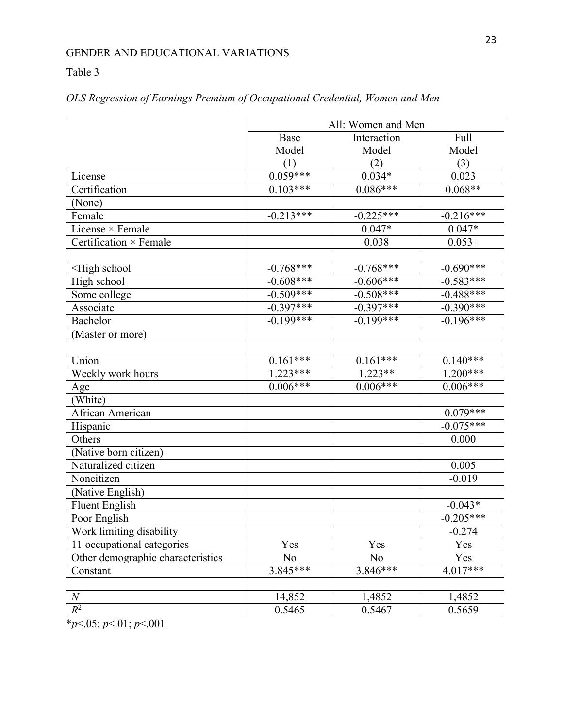#### Table 3

|                                                                                                                             | All: Women and Men |             |             |  |  |
|-----------------------------------------------------------------------------------------------------------------------------|--------------------|-------------|-------------|--|--|
|                                                                                                                             | Base               | Interaction | Full        |  |  |
|                                                                                                                             | Model              | Model       | Model       |  |  |
|                                                                                                                             | (1)                | (2)         | (3)         |  |  |
| License                                                                                                                     | $0.059***$         | $0.034*$    | 0.023       |  |  |
| Certification                                                                                                               | $0.103***$         | $0.086***$  | $0.068**$   |  |  |
| (None)                                                                                                                      |                    |             |             |  |  |
| Female                                                                                                                      | $-0.213***$        | $-0.225***$ | $-0.216***$ |  |  |
| License × Female                                                                                                            |                    | $0.047*$    | $0.047*$    |  |  |
| Certification × Female                                                                                                      |                    | 0.038       | $0.053+$    |  |  |
|                                                                                                                             |                    |             |             |  |  |
| <high school<="" td=""><td><math>-0.768***</math></td><td><math>-0.768***</math></td><td><math>-0.690***</math></td></high> | $-0.768***$        | $-0.768***$ | $-0.690***$ |  |  |
| High school                                                                                                                 | $-0.608***$        | $-0.606***$ | $-0.583***$ |  |  |
| Some college                                                                                                                | $-0.509***$        | $-0.508***$ | $-0.488***$ |  |  |
| Associate                                                                                                                   | $-0.397***$        | $-0.397***$ | $-0.390***$ |  |  |
| Bachelor                                                                                                                    | $-0.199***$        | $-0.199***$ | $-0.196***$ |  |  |
| (Master or more)                                                                                                            |                    |             |             |  |  |
|                                                                                                                             |                    |             |             |  |  |
| Union                                                                                                                       | $0.161***$         | $0.161***$  | $0.140***$  |  |  |
| Weekly work hours                                                                                                           | $1.223***$         | $1.223**$   | $1.200***$  |  |  |
| Age                                                                                                                         | $0.006***$         | $0.006***$  | $0.006***$  |  |  |
| (White)                                                                                                                     |                    |             |             |  |  |
| African American                                                                                                            |                    |             | $-0.079***$ |  |  |
| Hispanic                                                                                                                    |                    |             | $-0.075***$ |  |  |
| Others                                                                                                                      |                    |             | 0.000       |  |  |
| (Native born citizen)                                                                                                       |                    |             |             |  |  |
| Naturalized citizen                                                                                                         |                    |             | 0.005       |  |  |
| Noncitizen                                                                                                                  |                    |             | $-0.019$    |  |  |
| (Native English)                                                                                                            |                    |             |             |  |  |
| <b>Fluent English</b>                                                                                                       |                    |             | $-0.043*$   |  |  |
| Poor English                                                                                                                |                    |             | $-0.205***$ |  |  |
| Work limiting disability                                                                                                    |                    |             | $-0.274$    |  |  |
| 11 occupational categories                                                                                                  | Yes                | Yes         | Yes         |  |  |
| Other demographic characteristics                                                                                           | No                 | No          | Yes         |  |  |
| Constant                                                                                                                    | $3.845***$         | $3.846***$  | $4.017***$  |  |  |
|                                                                                                                             |                    |             |             |  |  |
| $\boldsymbol{N}$                                                                                                            | 14,852             | 1,4852      | 1,4852      |  |  |
| $R^2$                                                                                                                       | 0.5465             | 0.5467      | 0.5659      |  |  |

#### *OLS Regression of Earnings Premium of Occupational Credential, Women and Men*

\**p*<.05; *p*<.01; *p*<.001